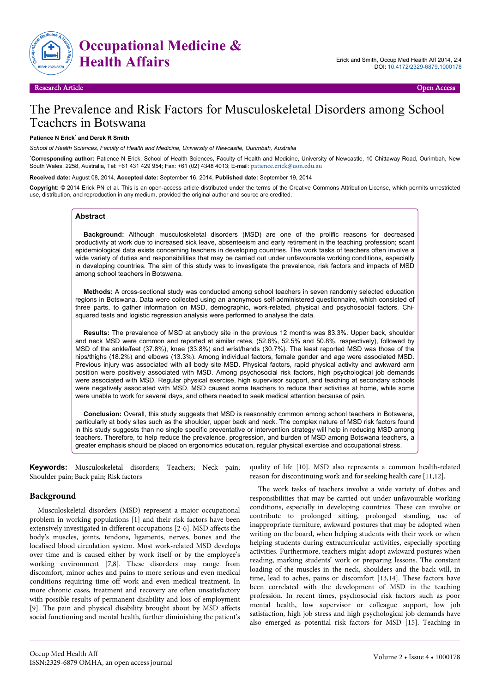

# The Prevalence and Risk Factors for Musculoskeletal Disorders among School Teachers in Botswana

#### **Patience N Erick**\*  **and Derek R Smith**

*School of Health Sciences, Faculty of Health and Medicine, University of Newcastle, Ourimbah, Australia*

\***Corresponding author:** Patience N Erick, School of Health Sciences, Faculty of Health and Medicine, University of Newcastle, 10 Chittaway Road, Ourimbah, New South Wales, 2258, Australia, Tel: +61 431 429 954; Fax: +61 (02) 4348 4013; E-mail: [patience.erick@uon.edu.au](mailto:patience.erick@uon.edu.au)

**Received date:** August 08, 2014, **Accepted date:** September 16, 2014, **Published date:** September 19, 2014

**Copyright:** © 2014 Erick PN et al. This is an open-access article distributed under the terms of the Creative Commons Attribution License, which permits unrestricted use, distribution, and reproduction in any medium, provided the original author and source are credited.

### **Abstract**

**Background:** Although musculoskeletal disorders (MSD) are one of the prolific reasons for decreased productivity at work due to increased sick leave, absenteeism and early retirement in the teaching profession; scant epidemiological data exists concerning teachers in developing countries. The work tasks of teachers often involve a wide variety of duties and responsibilities that may be carried out under unfavourable working conditions, especially in developing countries. The aim of this study was to investigate the prevalence, risk factors and impacts of MSD among school teachers in Botswana.

**Methods:** A cross-sectional study was conducted among school teachers in seven randomly selected education regions in Botswana. Data were collected using an anonymous self-administered questionnaire, which consisted of three parts, to gather information on MSD, demographic, work-related, physical and psychosocial factors. Chisquared tests and logistic regression analysis were performed to analyse the data.

**Results:** The prevalence of MSD at anybody site in the previous 12 months was 83.3%. Upper back, shoulder and neck MSD were common and reported at similar rates, (52.6%, 52.5% and 50.8%, respectively), followed by MSD of the ankle/feet (37.8%), knee (33.8%) and wrist/hands (30.7%). The least reported MSD was those of the hips/thighs (18.2%) and elbows (13.3%). Among individual factors, female gender and age were associated MSD. Previous injury was associated with all body site MSD. Physical factors, rapid physical activity and awkward arm position were positively associated with MSD. Among psychosocial risk factors, high psychological job demands were associated with MSD. Regular physical exercise, high supervisor support, and teaching at secondary schools were negatively associated with MSD. MSD caused some teachers to reduce their activities at home, while some were unable to work for several days, and others needed to seek medical attention because of pain.

**Conclusion:** Overall, this study suggests that MSD is reasonably common among school teachers in Botswana, particularly at body sites such as the shoulder, upper back and neck. The complex nature of MSD risk factors found in this study suggests than no single specific preventative or intervention strategy will help in reducing MSD among teachers. Therefore, to help reduce the prevalence, progression, and burden of MSD among Botswana teachers, a greater emphasis should be placed on ergonomics education, regular physical exercise and occupational stress.

**Keywords:** Musculoskeletal disorders; Teachers; Neck pain; Shoulder pain; Back pain; Risk factors

# **Background**

Musculoskeletal disorders (MSD) represent a major occupational problem in working populations [1] and their risk factors have been extensively investigated in different occupations [2-6]. MSD affects the body's muscles, joints, tendons, ligaments, nerves, bones and the localised blood circulation system. Most work-related MSD develops over time and is caused either by work itself or by the employee's working environment [7,8]. These disorders may range from discomfort, minor aches and pains to more serious and even medical conditions requiring time off work and even medical treatment. In more chronic cases, treatment and recovery are often unsatisfactory with possible results of permanent disability and loss of employment [9]. The pain and physical disability brought about by MSD affects social functioning and mental health, further diminishing the patient's

quality of life [10]. MSD also represents a common health-related reason for discontinuing work and for seeking health care [11,12].

The work tasks of teachers involve a wide variety of duties and responsibilities that may be carried out under unfavourable working conditions, especially in developing countries. These can involve or contribute to prolonged sitting, prolonged standing, use of inappropriate furniture, awkward postures that may be adopted when writing on the board, when helping students with their work or when helping students during extracurricular activities, especially sporting activities. Furthermore, teachers might adopt awkward postures when reading, marking students' work or preparing lessons. The constant loading of the muscles in the neck, shoulders and the back will, in time, lead to aches, pains or discomfort [13,14]. These factors have been correlated with the development of MSD in the teaching profession. In recent times, psychosocial risk factors such as poor mental health, low supervisor or colleague support, low job satisfaction, high job stress and high psychological job demands have also emerged as potential risk factors for MSD [15]. Teaching in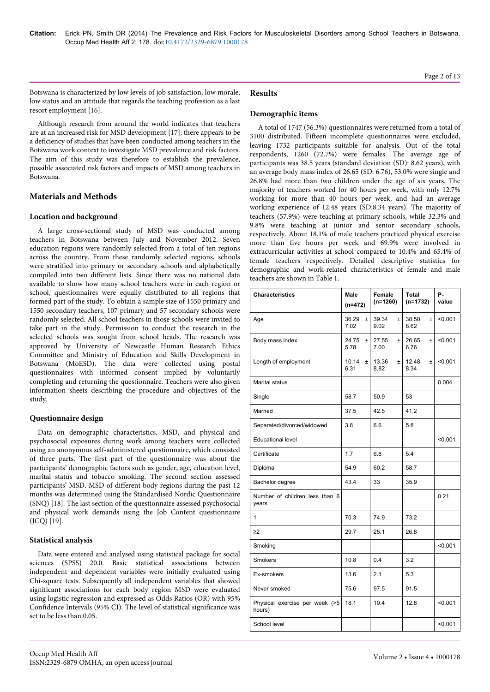Botswana is characterized by low levels of job satisfaction, low morale, low status and an attitude that regards the teaching profession as a last resort employment [16].

Although research from around the world indicates that teachers are at an increased risk for MSD development [17], there appears to be a deficiency of studies that have been conducted among teachers in the Botswana work context to investigate MSD prevalence and risk factors. The aim of this study was therefore to establish the prevalence, possible associated risk factors and impacts of MSD among teachers in Botswana.

# **Materials and Methods**

### **Location and background**

A large cross-sectional study of MSD was conducted among teachers in Botswana between July and November 2012. Seven education regions were randomly selected from a total of ten regions across the country. From these randomly selected regions, schools were stratified into primary or secondary schools and alphabetically compiled into two different lists. Since there was no national data available to show how many school teachers were in each region or school, questionnaires were equally distributed to all regions that formed part of the study. To obtain a sample size of 1550 primary and 1550 secondary teachers, 107 primary and 57 secondary schools were randomly selected. All school teachers in those schools were invited to take part in the study. Permission to conduct the research in the selected schools was sought from school heads. The research was approved by University of Newcastle Human Research Ethics Committee and Ministry of Education and Skills Development in Botswana (MoESD). The data were collected using postal questionnaires with informed consent implied by voluntarily completing and returning the questionnaire. Teachers were also given information sheets describing the procedure and objectives of the study.

# **Questionnaire design**

Data on demographic characteristics, MSD, and physical and psychosocial exposures during work among teachers were collected using an anonymous self-administered questionnaire, which consisted of three parts. The first part of the questionnaire was about the participants' demographic factors such as gender, age, education level, marital status and tobacco smoking. The second section assessed participants' MSD. MSD of different body regions during the past 12 months was determined using the Standardised Nordic Questionnaire (SNQ) [18]. The last section of the questionnaire assessed psychosocial and physical work demands using the Job Content questionnaire (JCQ) [19].

# **Statistical analysis**

Data were entered and analysed using statistical package for social sciences (SPSS) 20.0. Basic statistical associations between independent and dependent variables were initially evaluated using Chi-square tests. Subsequently all independent variables that showed significant associations for each body region MSD were evaluated using logistic regression and expressed as Odds Ratios (OR) with 95% Confidence Intervals (95% CI). The level of statistical significance was set to be less than 0.05.

# **Demographic items**

A total of 1747 (56.3%) questionnaires were returned from a total of 3100 distributed. Fifteen incomplete questionnaires were excluded, leaving 1732 participants suitable for analysis. Out of the total respondents, 1260 (72.7%) were females. The average age of participants was 38.5 years (standard deviation (SD): 8.62 years), with an average body mass index of 26.65 (SD: 6.76), 53.0% were single and 26.8% had more than two children under the age of six years. The majority of teachers worked for 40 hours per week, with only 12.7% working for more than 40 hours per week, and had an average working experience of 12.48 years (SD:8.34 years). The majority of teachers (57.9%) were teaching at primary schools, while 32.3% and 9.8% were teaching at junior and senior secondary schools, respectively. About 18.1% of male teachers practiced physical exercise more than five hours per week and 69.9% were involved in extracurricular activities at school compared to 10.4% and 65.4% of female teachers respectively. Detailed descriptive statistics for demographic and work-related characteristics of female and male teachers are shown in Table 1.

| <b>Characteristics</b>                   | Male<br>$(n=472)$      | Female<br>$(n=1260)$   | <b>Total</b><br>$(n=1732)$ | Р.<br>value |
|------------------------------------------|------------------------|------------------------|----------------------------|-------------|
| Age                                      | 36.29<br>$\pm$<br>7.02 | 39.34<br>$\pm$<br>9.02 | 38.50<br>$\pm$<br>8.62     | < 0.001     |
| Body mass index                          | 24.75<br>$\pm$<br>5.78 | 27.55<br>$\pm$<br>7.00 | 26.65<br>$\pm$<br>6.76     | < 0.001     |
| Length of employment                     | 10.14<br>$\pm$<br>6.31 | 13.36<br>$\pm$<br>8.82 | 12.48<br>$\pm$<br>8.34     | < 0.001     |
| <b>Marital status</b>                    |                        |                        |                            | 0.004       |
| Single                                   | 58.7                   | 50.9                   | 53                         |             |
| Married                                  | 37.5                   | 42.5                   | 41.2                       |             |
| Separated/divorced/widowed               | 3.8                    | 6.6                    | 5.8                        |             |
| <b>Educational level</b>                 |                        |                        |                            | < 0.001     |
| Certificate                              | 1.7                    | 6.8                    | 5.4                        |             |
| Diploma                                  | 54.9                   | 60.2                   | 58.7                       |             |
| Bachelor degree                          | 43.4                   | 33                     | 35.9                       |             |
| Number of children less than 6<br>years  |                        |                        |                            | 0.21        |
| 1                                        | 70.3                   | 74.9                   | 73.2                       |             |
| $\geq$ 2                                 | 29.7                   | 25.1                   | 26.8                       |             |
| Smoking                                  |                        |                        |                            | < 0.001     |
| Smokers                                  | 10.8                   | 0.4                    | 3.2                        |             |
| Ex-smokers                               | 13.6                   | 2.1                    | 5.3                        |             |
| Never smoked                             | 75.6                   | 97.5                   | 91.5                       |             |
| Physical exercise per week (>5<br>hours) | 18.1                   | 10.4                   | 12.8                       | < 0.001     |
| School level                             |                        |                        |                            | < 0.001     |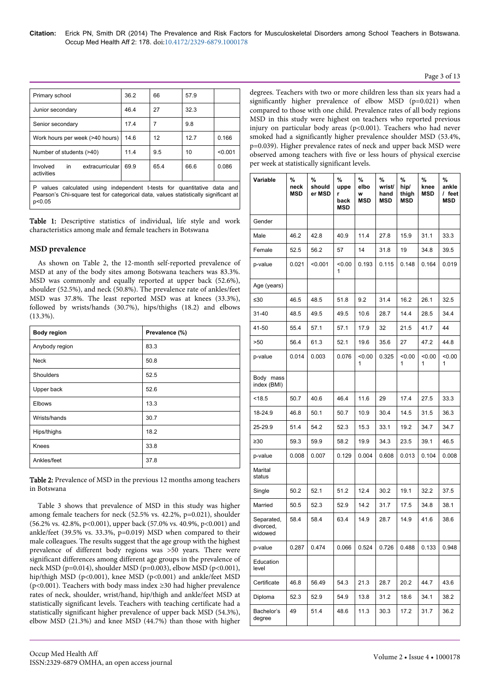#### Page 3 of 13

| Primary school                                                                                                                                                               | 36.2 | 66   | 57.9 |         |  |  |  |
|------------------------------------------------------------------------------------------------------------------------------------------------------------------------------|------|------|------|---------|--|--|--|
| Junior secondary                                                                                                                                                             | 46.4 | 27   | 32.3 |         |  |  |  |
| Senior secondary                                                                                                                                                             | 17.4 | 7    | 9.8  |         |  |  |  |
| Work hours per week (>40 hours)                                                                                                                                              | 14.6 | 12   | 12.7 | 0.166   |  |  |  |
| Number of students (>40)                                                                                                                                                     | 11.4 | 9.5  | 10   | < 0.001 |  |  |  |
| extracurricular<br>Involved<br>in<br>activities                                                                                                                              | 69.9 | 65.4 | 66.6 | 0.086   |  |  |  |
| P.<br>values calculated using independent t-tests for quantitative data and<br>Pearson's Chi-square test for categorical data, values statistically significant at<br>p<0.05 |      |      |      |         |  |  |  |

Table 1: Descriptive statistics of individual, life style and work characteristics among male and female teachers in Botswana

### **MSD prevalence**

As shown on Table 2, the 12-month self-reported prevalence of MSD at any of the body sites among Botswana teachers was 83.3%. MSD was commonly and equally reported at upper back (52.6%), shoulder (52.5%), and neck (50.8%). The prevalence rate of ankles/feet MSD was 37.8%. The least reported MSD was at knees (33.3%), followed by wrists/hands (30.7%), hips/thighs (18.2) and elbows (13.3%).

| <b>Body region</b> | Prevalence (%) |
|--------------------|----------------|
| Anybody region     | 83.3           |
| <b>Neck</b>        | 50.8           |
| Shoulders          | 52.5           |
| Upper back         | 52.6           |
| <b>Elbows</b>      | 13.3           |
| Wrists/hands       | 30.7           |
| Hips/thighs        | 18.2           |
| Knees              | 33.8           |
| Ankles/feet        | 37.8           |

Table 2: Prevalence of MSD in the previous 12 months among teachers in Botswana

Table 3 shows that prevalence of MSD in this study was higher among female teachers for neck (52.5% vs. 42.2%, p=0.021), shoulder (56.2% vs. 42.8%, p<0.001), upper back (57.0% vs. 40.9%, p<0.001) and ankle/feet (39.5% vs. 33.3%, p=0.019) MSD when compared to their male colleagues. The results suggest that the age group with the highest prevalence of different body regions was >50 years. There were significant differences among different age groups in the prevalence of neck MSD (p=0.014), shoulder MSD (p=0.003), elbow MSD (p<0.001), hip/thigh MSD (p<0.001), knee MSD (p<0.001) and ankle/feet MSD (p<0.001). Teachers with body mass index ≥30 had higher prevalence rates of neck, shoulder, wrist/hand, hip/thigh and ankle/feet MSD at statistically significant levels. Teachers with teaching certificate had a statistically significant higher prevalence of upper back MSD (54.3%), elbow MSD (21.3%) and knee MSD (44.7%) than those with higher

degrees. Teachers with two or more children less than six years had a significantly higher prevalence of elbow MSD (p=0.021) when compared to those with one child. Prevalence rates of all body regions MSD in this study were highest on teachers who reported previous injury on particular body areas (p<0.001). Teachers who had never smoked had a significantly higher prevalence shoulder MSD (53.4%, p=0.039). Higher prevalence rates of neck and upper back MSD were observed among teachers with five or less hours of physical exercise per week at statistically significant levels.

| Variable                           | %<br>neck<br><b>MSD</b> | %<br>should<br>er MSD | %<br>uppe<br>r<br>back<br>MSD | %<br>elbo<br>W<br><b>MSD</b> | %<br>wrist/<br>hand<br><b>MSD</b> | %<br>hip/<br>thigh<br><b>MSD</b> | %<br>knee<br><b>MSD</b> | %<br>ankle<br>/ feet<br><b>MSD</b> |
|------------------------------------|-------------------------|-----------------------|-------------------------------|------------------------------|-----------------------------------|----------------------------------|-------------------------|------------------------------------|
| Gender                             |                         |                       |                               |                              |                                   |                                  |                         |                                    |
| Male                               | 46.2                    | 42.8                  | 40.9                          | 11.4                         | 27.8                              | 15.9                             | 31.1                    | 33.3                               |
| Female                             | 52.5                    | 56.2                  | 57                            | 14                           | 31.8                              | 19                               | 34.8                    | 39.5                               |
| p-value                            | 0.021                   | < 0.001               | < 0.00<br>1                   | 0.193                        | 0.115                             | 0.148                            | 0.164                   | 0.019                              |
| Age (years)                        |                         |                       |                               |                              |                                   |                                  |                         |                                    |
| ≤30                                | 46.5                    | 48.5                  | 51.8                          | 9.2                          | 31.4                              | 16.2                             | 26.1                    | 32.5                               |
| 31-40                              | 48.5                    | 49.5                  | 49.5                          | 10.6                         | 28.7                              | 14.4                             | 28.5                    | 34.4                               |
| 41-50                              | 55.4                    | 57.1                  | 57.1                          | 17.9                         | 32                                | 21.5                             | 41.7                    | 44                                 |
| >50                                | 56.4                    | 61.3                  | 52.1                          | 19.6                         | 35.6                              | 27                               | 47.2                    | 44.8                               |
| p-value                            | 0.014                   | 0.003                 | 0.076                         | < 0.00<br>1                  | 0.325                             | < 0.00<br>1                      | < 0.00<br>1             | < 0.00<br>1                        |
| Body mass<br>index (BMI)           |                         |                       |                               |                              |                                   |                                  |                         |                                    |
| < 18.5                             | 50.7                    | 40.6                  | 46.4                          | 11.6                         | 29                                | 17.4                             | 27.5                    | 33.3                               |
| 18-24.9                            | 46.8                    | 50.1                  | 50.7                          | 10.9                         | 30.4                              | 14.5                             | 31.5                    | 36.3                               |
| 25-29.9                            | 51.4                    | 54.2                  | 52.3                          | 15.3                         | 33.1                              | 19.2                             | 34.7                    | 34.7                               |
| $\geq 30$                          | 59.3                    | 59.9                  | 58.2                          | 19.9                         | 34.3                              | 23.5                             | 39.1                    | 46.5                               |
| p-value                            | 0.008                   | 0.007                 | 0.129                         | 0.004                        | 0.608                             | 0.013                            | 0.104                   | 0.008                              |
| Marital<br>status                  |                         |                       |                               |                              |                                   |                                  |                         |                                    |
| Single                             | 50.2                    | 52.1                  | 51.2                          | 12.4                         | 30.2                              | 19.1                             | 32.2                    | 37.5                               |
| Married                            | 50.5                    | 52.3                  | 52.9                          | 14.2                         | 31.7                              | 17.5                             | 34.8                    | 38.1                               |
| Separated,<br>divorced,<br>widowed | 58.4                    | 58.4                  | 63.4                          | 14.9                         | 28.7                              | 14.9                             | 41.6                    | 38.6                               |
| p-value                            | 0.287                   | 0.474                 | 0.066                         | 0.524                        | 0.726                             | 0.488                            | 0.133                   | 0.948                              |
| Education<br>level                 |                         |                       |                               |                              |                                   |                                  |                         |                                    |
| Certificate                        | 46.8                    | 56.49                 | 54.3                          | 21.3                         | 28.7                              | 20.2                             | 44.7                    | 43.6                               |
| Diploma                            | 52.3                    | 52.9                  | 54.9                          | 13.8                         | 31.2                              | 18.6                             | 34.1                    | 38.2                               |
| Bachelor's<br>degree               | 49                      | 51.4                  | 48.6                          | 11.3                         | 30.3                              | 17.2                             | 31.7                    | 36.2                               |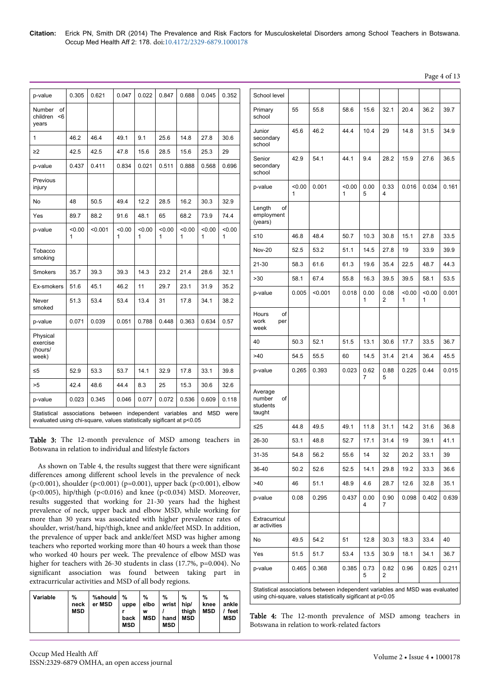**Citation:** Erick PN, Smith DR (2014) The Prevalence and Risk Factors for Musculoskeletal Disorders among School Teachers in Botswana. Occup Med Health Aff 2: 178. doi:10.4172/2329-6879.1000178

Page 4 of 13

| p-value                                                                                                                                                     | 0.305       | 0.621   | 0.047       | 0.022       | 0.847       | 0.688       | 0.045       | 0.352       |
|-------------------------------------------------------------------------------------------------------------------------------------------------------------|-------------|---------|-------------|-------------|-------------|-------------|-------------|-------------|
| Number<br>of<br>children<br><6<br>years                                                                                                                     |             |         |             |             |             |             |             |             |
| 1                                                                                                                                                           | 46.2        | 46.4    | 49.1        | 9.1         | 25.6        | 14.8        | 27.8        | 30.6        |
| $\geq$ 2                                                                                                                                                    | 42.5        | 42.5    | 47.8        | 15.6        | 28.5        | 15.6        | 25.3        | 29          |
| p-value                                                                                                                                                     | 0.437       | 0.411   | 0.834       | 0.021       | 0.511       | 0.888       | 0.568       | 0.696       |
| Previous<br>injury                                                                                                                                          |             |         |             |             |             |             |             |             |
| No                                                                                                                                                          | 48          | 50.5    | 49.4        | 12.2        | 28.5        | 16.2        | 30.3        | 32.9        |
| Yes                                                                                                                                                         | 89.7        | 88.2    | 91.6        | 48.1        | 65          | 68.2        | 73.9        | 74.4        |
| p-value                                                                                                                                                     | < 0.00<br>1 | < 0.001 | < 0.00<br>1 | < 0.00<br>1 | < 0.00<br>1 | < 0.00<br>1 | < 0.00<br>1 | < 0.00<br>1 |
| Tobacco<br>smoking                                                                                                                                          |             |         |             |             |             |             |             |             |
| <b>Smokers</b>                                                                                                                                              | 35.7        | 39.3    | 39.3        | 14.3        | 23.2        | 21.4        | 28.6        | 32.1        |
| Ex-smokers                                                                                                                                                  | 51.6        | 45.1    | 46.2        | 11          | 29.7        | 23.1        | 31.9        | 35.2        |
| Never<br>smoked                                                                                                                                             | 51.3        | 53.4    | 53.4        | 13.4        | 31          | 17.8        | 34.1        | 38.2        |
| p-value                                                                                                                                                     | 0.071       | 0.039   | 0.051       | 0.788       | 0.448       | 0.363       | 0.634       | 0.57        |
| Physical<br>exercise<br>(hours/<br>week)                                                                                                                    |             |         |             |             |             |             |             |             |
| $\leq 5$                                                                                                                                                    | 52.9        | 53.3    | 53.7        | 14.1        | 32.9        | 17.8        | 33.1        | 39.8        |
| >5                                                                                                                                                          | 42.4        | 48.6    | 44.4        | 8.3         | 25          | 15.3        | 30.6        | 32.6        |
| p-value                                                                                                                                                     | 0.023       | 0.345   | 0.046       | 0.077       | 0.072       | 0.536       | 0.609       | 0.118       |
| between<br>associations<br>independent variables and<br>MSD<br>Statistical<br>were<br>evaluated using chi-square, values statistically sigificant at p<0.05 |             |         |             |             |             |             |             |             |

Table 3: The 12-month prevalence of MSD among teachers in Botswana in relation to individual and lifestyle factors

As shown on Table 4, the results suggest that there were significant differences among different school levels in the prevalence of neck (p<0.001), shoulder (p<0.001) (p=0.001), upper back (p<0.001), elbow (p<0.005), hip/thigh (p<0.016) and knee (p<0.034) MSD. Moreover, results suggested that working for 21-30 years had the highest prevalence of neck, upper back and elbow MSD, while working for more than 30 years was associated with higher prevalence rates of shoulder, wrist/hand, hip/thigh, knee and ankle/feet MSD. In addition, the prevalence of upper back and ankle/feet MSD was higher among teachers who reported working more than 40 hours a week than those who worked 40 hours per week. The prevalence of elbow MSD was higher for teachers with 26-30 students in class (17.7%, p=0.004). No significant association was found between taking part in extracurricular activities and MSD of all body regions.

| Variable | %<br>neck<br><b>MSD</b> | %should<br>er MSD | %<br>uppe<br>back<br><b>MSD</b> | %<br>elbo<br>W<br><b>MSD</b> | $\frac{9}{6}$<br>wrist  <br>hand<br><b>MSD</b> | %<br>hip/<br>thigh<br><b>MSD</b> | %<br>knee<br><b>MSD</b> | $\%$<br>ankle  <br>feet<br><b>MSD</b> |
|----------|-------------------------|-------------------|---------------------------------|------------------------------|------------------------------------------------|----------------------------------|-------------------------|---------------------------------------|
|----------|-------------------------|-------------------|---------------------------------|------------------------------|------------------------------------------------|----------------------------------|-------------------------|---------------------------------------|

| School level                                  |                                                                                                                                             |         |             |           |                        |             |             |       |
|-----------------------------------------------|---------------------------------------------------------------------------------------------------------------------------------------------|---------|-------------|-----------|------------------------|-------------|-------------|-------|
| Primary<br>school                             | 55                                                                                                                                          | 55.8    | 58.6        | 15.6      | 32.1                   | 20.4        | 36.2        | 39.7  |
| Junior<br>secondary<br>school                 | 45.6                                                                                                                                        | 46.2    | 44.4        | 10.4      | 29                     | 14.8        | 31.5        | 34.9  |
| Senior<br>secondary<br>school                 | 42.9                                                                                                                                        | 54.1    | 44.1        | 9.4       | 28.2                   | 15.9        | 27.6        | 36.5  |
| p-value                                       | < 0.00<br>1                                                                                                                                 | 0.001   | < 0.00<br>1 | 0.00<br>5 | 0.33<br>4              | 0.016       | 0.034       | 0.161 |
| Length<br>οf<br>employment<br>(years)         |                                                                                                                                             |         |             |           |                        |             |             |       |
| ≤10                                           | 46.8                                                                                                                                        | 48.4    | 50.7        | 10.3      | 30.8                   | 15.1        | 27.8        | 33.5  |
| <b>Nov-20</b>                                 | 52.5                                                                                                                                        | 53.2    | 51.1        | 14.5      | 27.8                   | 19          | 33.9        | 39.9  |
| 21-30                                         | 58.3                                                                                                                                        | 61.6    | 61.3        | 19.6      | 35.4                   | 22.5        | 48.7        | 44.3  |
| >30                                           | 58.1                                                                                                                                        | 67.4    | 55.8        | 16.3      | 39.5                   | 39.5        | 58.1        | 53.5  |
| p-value                                       | 0.005                                                                                                                                       | < 0.001 | 0.018       | 0.00<br>1 | 0.08<br>2              | < 0.00<br>1 | < 0.00<br>1 | 0.001 |
| Hours<br>οf<br>work<br>per<br>week            |                                                                                                                                             |         |             |           |                        |             |             |       |
| 40                                            | 50.3                                                                                                                                        | 52.1    | 51.5        | 13.1      | 30.6                   | 17.7        | 33.5        | 36.7  |
| >40                                           | 54.5                                                                                                                                        | 55.5    | 60          | 14.5      | 31.4                   | 21.4        | 36.4        | 45.5  |
| p-value                                       | 0.265                                                                                                                                       | 0.393   | 0.023       | 0.62<br>7 | 0.88<br>5              | 0.225       | 0.44        | 0.015 |
| Average<br>number<br>οf<br>students<br>taught |                                                                                                                                             |         |             |           |                        |             |             |       |
| ≤25                                           | 44.8                                                                                                                                        | 49.5    | 49.1        | 11.8      | 31.1                   | 14.2        | 31.6        | 36.8  |
| 26-30                                         | 53.1                                                                                                                                        | 48.8    | 52.7        | 17.1      | 31.4                   | 19          | 39.1        | 41.1  |
| 31-35                                         | 54.8                                                                                                                                        | 56.2    | 55.6        | 14        | 32                     | 20.2        | 33.1        | 39    |
| 36-40                                         | 50.2                                                                                                                                        | 52.6    | 52.5        | 14.1      | 29.8                   | 19.2        | 33.3        | 36.6  |
| >40                                           | 46                                                                                                                                          | 51.1    | 48.9        | 4.6       | 28.7                   | 12.6        | 32.8        | 35.1  |
| p-value                                       | 0.08                                                                                                                                        | 0.295   | 0.437       | 0.00<br>4 | 0.90<br>7              | 0.098       | 0.402       | 0.639 |
| Extracurricul<br>ar activities                |                                                                                                                                             |         |             |           |                        |             |             |       |
| No                                            | 49.5                                                                                                                                        | 54.2    | 51          | 12.8      | 30.3                   | 18.3        | 33.4        | 40    |
| Yes                                           | 51.5                                                                                                                                        | 51.7    | 53.4        | 13.5      | 30.9                   | 18.1        | 34.1        | 36.7  |
| p-value                                       | 0.465                                                                                                                                       | 0.368   | 0.385       | 0.73<br>5 | 0.82<br>$\overline{2}$ | 0.96        | 0.825       | 0.211 |
|                                               | Statistical associations between independent variables and MSD was evaluated<br>using chi-square, values statistically sigificant at p<0.05 |         |             |           |                        |             |             |       |

Table 4: The 12-month prevalence of MSD among teachers in Botswana in relation to work-related factors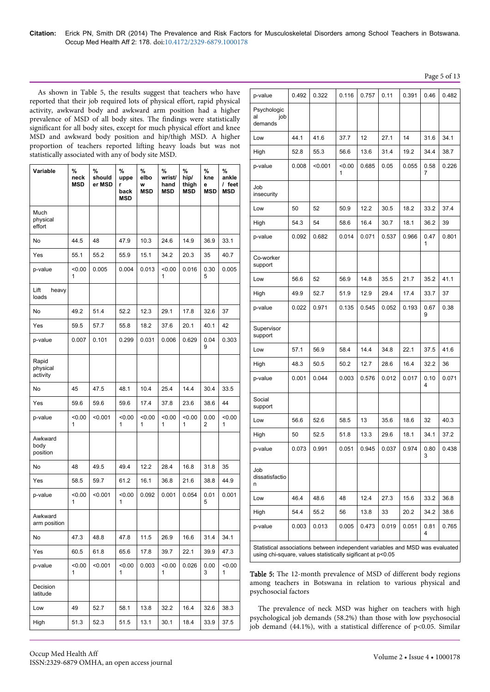Page 5 of 13

As shown in Table 5, the results suggest that teachers who have reported that their job required lots of physical effort, rapid physical activity, awkward body and awkward arm position had a higher prevalence of MSD of all body sites. The findings were statistically significant for all body sites, except for much physical effort and knee MSD and awkward body position and hip/thigh MSD. A higher proportion of teachers reported lifting heavy loads but was not statistically associated with any of body site MSD.

| Variable                      | %<br>neck<br><b>MSD</b> | %<br>should<br>er MSD | %<br>uppe<br>r<br>back<br><b>MSD</b> | %<br>elbo<br>W<br>MSD | %<br>wrist/<br>hand<br>MSD | %<br>hip/<br>thigh<br><b>MSD</b> | %<br>kne<br>e<br><b>MSD</b> | %<br>ankle<br>/ feet<br>MSD |
|-------------------------------|-------------------------|-----------------------|--------------------------------------|-----------------------|----------------------------|----------------------------------|-----------------------------|-----------------------------|
| Much<br>physical<br>effort    |                         |                       |                                      |                       |                            |                                  |                             |                             |
| No                            | 44.5                    | 48                    | 47.9                                 | 10.3                  | 24.6                       | 14.9                             | 36.9                        | 33.1                        |
| Yes                           | 55.1                    | 55.2                  | 55.9                                 | 15.1                  | 34.2                       | 20.3                             | 35                          | 40.7                        |
| p-value                       | < 0.00<br>1             | 0.005                 | 0.004                                | 0.013                 | < 0.00<br>1                | 0.016                            | 0.30<br>5                   | 0.005                       |
| Lift<br>heavy<br>loads        |                         |                       |                                      |                       |                            |                                  |                             |                             |
| No                            | 49.2                    | 51.4                  | 52.2                                 | 12.3                  | 29.1                       | 17.8                             | 32.6                        | 37                          |
| Yes                           | 59.5                    | 57.7                  | 55.8                                 | 18.2                  | 37.6                       | 20.1                             | 40.1                        | 42                          |
| p-value                       | 0.007                   | 0.101                 | 0.299                                | 0.031                 | 0.006                      | 0.629                            | 0.04<br>9                   | 0.303                       |
| Rapid<br>physical<br>activity |                         |                       |                                      |                       |                            |                                  |                             |                             |
| No                            | 45                      | 47.5                  | 48.1                                 | 10.4                  | 25.4                       | 14.4                             | 30.4                        | 33.5                        |
| Yes                           | 59.6                    | 59.6                  | 59.6                                 | 17.4                  | 37.8                       | 23.6                             | 38.6                        | 44                          |
| p-value                       | < 0.00<br>1             | < 0.001               | < 0.00<br>1                          | 0.00<br>1             | < 0.00<br>1                | < 0.00<br>1                      | 0.00<br>2                   | 0.00<br>1                   |
| Awkward<br>body<br>position   |                         |                       |                                      |                       |                            |                                  |                             |                             |
| No                            | 48                      | 49.5                  | 49.4                                 | 12.2                  | 28.4                       | 16.8                             | 31.8                        | 35                          |
| Yes                           | 58.5                    | 59.7                  | 61.2                                 | 16.1                  | 36.8                       | 21.6                             | 38.8                        | 44.9                        |
| p-value                       | 0.00<br>1               | < 0.001               | < 0.00<br>1                          | 0.092                 | 0.001                      | 0.054                            | 0.01<br>5                   | 0.001                       |
| Awkward<br>arm position       |                         |                       |                                      |                       |                            |                                  |                             |                             |
| No                            | 47.3                    | 48.8                  | 47.8                                 | 11.5                  | 26.9                       | 16.6                             | 31.4                        | 34.1                        |
| Yes                           | 60.5                    | 61.8                  | 65.6                                 | 17.8                  | 39.7                       | 22.1                             | 39.9                        | 47.3                        |
| p-value                       | < 0.00<br>1             | < 0.001               | < 0.00<br>1                          | 0.003                 | < 0.00<br>1                | 0.026                            | 0.00<br>3                   | 0.00<br>1                   |
| Decision<br>latitude          |                         |                       |                                      |                       |                            |                                  |                             |                             |
| Low                           | 49                      | 52.7                  | 58.1                                 | 13.8                  | 32.2                       | 16.4                             | 32.6                        | 38.3                        |
| High                          | 51.3                    | 52.3                  | 51.5                                 | 13.1                  | 30.1                       | 18.4                             | 33.9                        | 37.5                        |

| p-value                             | 0.492                                                                                                                                       | 0.322   | 0.116       | 0.757 | 0.11  | 0.391 | 0.46      | 0.482 |
|-------------------------------------|---------------------------------------------------------------------------------------------------------------------------------------------|---------|-------------|-------|-------|-------|-----------|-------|
| Psychologic<br>job<br>al<br>demands |                                                                                                                                             |         |             |       |       |       |           |       |
| Low                                 | 44.1                                                                                                                                        | 41.6    | 37.7        | 12    | 27.1  | 14    | 31.6      | 34.1  |
| High                                | 52.8                                                                                                                                        | 55.3    | 56.6        | 13.6  | 31.4  | 19.2  | 34.4      | 38.7  |
| p-value                             | 0.008                                                                                                                                       | < 0.001 | < 0.00<br>1 | 0.685 | 0.05  | 0.055 | 0.58<br>7 | 0.226 |
| Job<br>insecurity                   |                                                                                                                                             |         |             |       |       |       |           |       |
| Low                                 | 50                                                                                                                                          | 52      | 50.9        | 12.2  | 30.5  | 18.2  | 33.2      | 37.4  |
| High                                | 54.3                                                                                                                                        | 54      | 58.6        | 16.4  | 30.7  | 18.1  | 36.2      | 39    |
| p-value                             | 0.092                                                                                                                                       | 0.682   | 0.014       | 0.071 | 0.537 | 0.966 | 0.47<br>1 | 0.801 |
| Co-worker<br>support                |                                                                                                                                             |         |             |       |       |       |           |       |
| Low                                 | 56.6                                                                                                                                        | 52      | 56.9        | 14.8  | 35.5  | 21.7  | 35.2      | 41.1  |
| High                                | 49.9                                                                                                                                        | 52.7    | 51.9        | 12.9  | 29.4  | 17.4  | 33.7      | 37    |
| p-value                             | 0.022                                                                                                                                       | 0.971   | 0.135       | 0.545 | 0.052 | 0.193 | 0.67<br>9 | 0.38  |
| Supervisor<br>support               |                                                                                                                                             |         |             |       |       |       |           |       |
| Low                                 | 57.1                                                                                                                                        | 56.9    | 58.4        | 14.4  | 34.8  | 22.1  | 37.5      | 41.6  |
| High                                | 48.3                                                                                                                                        | 50.5    | 50.2        | 12.7  | 28.6  | 16.4  | 32.2      | 36    |
| p-value                             | 0.001                                                                                                                                       | 0.044   | 0.003       | 0.576 | 0.012 | 0.017 | 0.10<br>4 | 0.071 |
| Social<br>support                   |                                                                                                                                             |         |             |       |       |       |           |       |
| Low                                 | 56.6                                                                                                                                        | 52.6    | 58.5        | 13    | 35.6  | 18.6  | 32        | 40.3  |
| High                                | 50                                                                                                                                          | 52.5    | 51.8        | 13.3  | 29.6  | 18.1  | 34.1      | 37.2  |
| p-value                             | 0.073                                                                                                                                       | 0.991   | 0.051       | 0.945 | 0.037 | 0.974 | 0.80      | 0.438 |
| Job<br>dissatisfactio<br>n          |                                                                                                                                             |         |             |       |       |       |           |       |
| Low                                 | 46.4                                                                                                                                        | 48.6    | 48          | 12.4  | 27.3  | 15.6  | 33.2      | 36.8  |
| High                                | 54.4                                                                                                                                        | 55.2    | 56          | 13.8  | 33    | 20.2  | 34.2      | 38.6  |
| p-value                             | 0.003                                                                                                                                       | 0.013   | 0.005       | 0.473 | 0.019 | 0.051 | 0.81<br>4 | 0.765 |
|                                     | Statistical associations between independent variables and MSD was evaluated<br>using chi-square, values statistically sigificant at p<0.05 |         |             |       |       |       |           |       |

Table 5: The 12-month prevalence of MSD of different body regions among teachers in Botswana in relation to various physical and psychosocial factors

The prevalence of neck MSD was higher on teachers with high psychological job demands (58.2%) than those with low psychosocial job demand (44.1%), with a statistical difference of  $p<0.05$ . Similar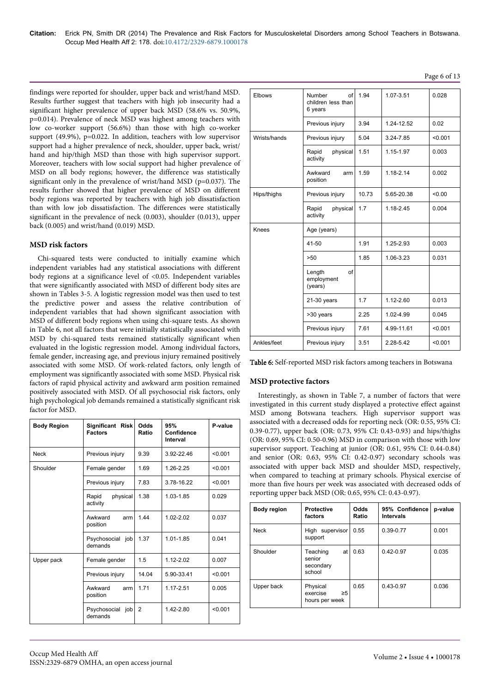findings were reported for shoulder, upper back and wrist/hand MSD. Results further suggest that teachers with high job insecurity had a significant higher prevalence of upper back MSD (58.6% vs. 50.9%, p=0.014). Prevalence of neck MSD was highest among teachers with low co-worker support (56.6%) than those with high co-worker support (49.9%), p=0.022. In addition, teachers with low supervisor support had a higher prevalence of neck, shoulder, upper back, wrist/ hand and hip/thigh MSD than those with high supervisor support. Moreover, teachers with low social support had higher prevalence of MSD on all body regions; however, the difference was statistically significant only in the prevalence of wrist/hand MSD (p=0.037). The results further showed that higher prevalence of MSD on different body regions was reported by teachers with high job dissatisfaction than with low job dissatisfaction. The differences were statistically significant in the prevalence of neck (0.003), shoulder (0.013), upper back (0.005) and wrist/hand (0.019) MSD.

### **MSD risk factors**

Chi-squared tests were conducted to initially examine which independent variables had any statistical associations with different body regions at a significance level of <0.05. Independent variables that were significantly associated with MSD of different body sites are shown in Tables 3-5. A logistic regression model was then used to test the predictive power and assess the relative contribution of independent variables that had shown significant association with MSD of different body regions when using chi-square tests. As shown in Table 6, not all factors that were initially statistically associated with MSD by chi-squared tests remained statistically significant when evaluated in the logistic regression model. Among individual factors, female gender, increasing age, and previous injury remained positively associated with some MSD. Of work-related factors, only length of employment was significantly associated with some MSD. Physical risk factors of rapid physical activity and awkward arm position remained positively associated with MSD. Of all psychosocial risk factors, only high psychological job demands remained a statistically significant risk factor for MSD.

| <b>Body Region</b> | Significant Risk<br><b>Factors</b> | Odds<br>Ratio | 95%<br>Confidence<br>Interval | P-value |
|--------------------|------------------------------------|---------------|-------------------------------|---------|
| <b>Neck</b>        | Previous injury                    | 9.39          | 3.92-22.46                    | < 0.001 |
| Shoulder           | Female gender                      | 1.69          | 1.26-2.25                     | < 0.001 |
|                    | Previous injury                    | 7.83          | 3.78-16.22                    | < 0.001 |
|                    | Rapid<br>physical<br>activity      | 1.38          | 1.03-1.85                     | 0.029   |
|                    | Awkward<br>arm<br>position         | 1.44          | $1.02 - 2.02$                 | 0.037   |
|                    | Psychosocial job<br>demands        | 1.37          | $1.01 - 1.85$                 | 0.041   |
| Upper pack         | Female gender                      | 1.5           | 1.12-2.02                     | 0.007   |
|                    | Previous injury                    | 14.04         | 5.90-33.41                    | < 0.001 |
|                    | Awkward<br>arm<br>position         | 1.71          | 1.17-2.51                     | 0.005   |
|                    | Psychosocial job<br>demands        | 2             | 1.42-2.80                     | < 0.001 |

| Elbows       | Number<br>$\Omega$<br>children less than<br>6 years | 1.94  | 1.07-3.51  | 0.028   |
|--------------|-----------------------------------------------------|-------|------------|---------|
|              | Previous injury                                     | 3.94  | 1.24-12.52 | 0.02    |
| Wrists/hands | Previous injury                                     | 5.04  | 3.24-7.85  | < 0.001 |
|              | Rapid<br>physical<br>activity                       | 1.51  | 1.15-1.97  | 0.003   |
|              | Awkward<br>arm<br>position                          | 1.59  | 1.18-2.14  | 0.002   |
| Hips/thighs  | Previous injury                                     | 10.73 | 5.65-20.38 | < 0.00  |
|              | Rapid<br>physical<br>activity                       | 1.7   | 1.18-2.45  | 0.004   |
| Knees        | Age (years)                                         |       |            |         |
|              | 41-50                                               | 1.91  | 1.25-2.93  | 0.003   |
|              | >50                                                 | 1.85  | 1.06-3.23  | 0.031   |
|              | Length<br>of<br>employment<br>(years)               |       |            |         |
|              | $21-30$ years                                       | 1.7   | 1.12-2.60  | 0.013   |
|              | >30 years                                           | 2.25  | 1.02-4.99  | 0.045   |
|              | Previous injury                                     | 7.61  | 4.99-11.61 | < 0.001 |
| Ankles/feet  | Previous injury                                     | 3.51  | 2.28-5.42  | < 0.001 |

Table 6: Self-reported MSD risk factors among teachers in Botswana

### **MSD protective factors**

Interestingly, as shown in Table 7, a number of factors that were investigated in this current study displayed a protective effect against MSD among Botswana teachers. High supervisor support was associated with a decreased odds for reporting neck (OR: 0.55, 95% CI: 0.39-0.77), upper back (OR: 0.73, 95% CI: 0.43-0.93) and hips/thighs (OR: 0.69, 95% CI: 0.50-0.96) MSD in comparison with those with low supervisor support. Teaching at junior (OR: 0.61, 95% CI: 0.44-0.84) and senior (OR: 0.63, 95% CI: 0.42-0.97) secondary schools was associated with upper back MSD and shoulder MSD, respectively, when compared to teaching at primary schools. Physical exercise of more than five hours per week was associated with decreased odds of reporting upper back MSD (OR: 0.65, 95% CI: 0.43-0.97).

| <b>Body region</b> | <b>Protective</b><br>factors                       | Odds<br>Ratio | 95% Confidence<br>Intervals | p-value |
|--------------------|----------------------------------------------------|---------------|-----------------------------|---------|
| Neck               | High supervisor<br>support                         | 0.55          | 0.39-0.77                   | 0.001   |
| Shoulder           | Teaching<br>at<br>senior<br>secondary<br>school    | 0.63          | $0.42 - 0.97$               | 0.035   |
| Upper back         | Physical<br>exercise<br>$\geq 5$<br>hours per week | 0.65          | $0.43 - 0.97$               | 0.036   |

Page 6 of 13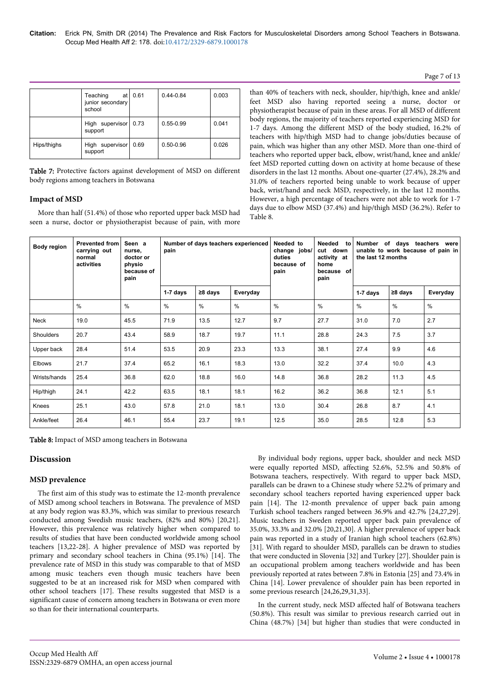#### Page 7 of 13

|             | Teaching<br>at<br>junior secondary<br>school | 0.61 | $0.44 - 0.84$ | 0.003 |
|-------------|----------------------------------------------|------|---------------|-------|
|             | High supervisor 0.73<br>support              |      | $0.55 - 0.99$ | 0.041 |
| Hips/thighs | High supervisor<br>support                   |      | $0.50 - 0.96$ | 0.026 |

Table 7: Protective factors against development of MSD on different body regions among teachers in Botswana

# **Impact of MSD**

More than half (51.4%) of those who reported upper back MSD had seen a nurse, doctor or physiotherapist because of pain, with more than 40% of teachers with neck, shoulder, hip/thigh, knee and ankle/ feet MSD also having reported seeing a nurse, doctor or physiotherapist because of pain in these areas. For all MSD of different body regions, the majority of teachers reported experiencing MSD for 1-7 days. Among the different MSD of the body studied, 16.2% of teachers with hip/thigh MSD had to change jobs/duties because of pain, which was higher than any other MSD. More than one-third of teachers who reported upper back, elbow, wrist/hand, knee and ankle/ feet MSD reported cutting down on activity at home because of these disorders in the last 12 months. About one-quarter (27.4%), 28.2% and 31.0% of teachers reported being unable to work because of upper back, wrist/hand and neck MSD, respectively, in the last 12 months. However, a high percentage of teachers were not able to work for 1-7 days due to elbow MSD (37.4%) and hip/thigh MSD (36.2%). Refer to Table 8.

| Body region      | <b>Prevented from</b><br>carrying out<br>normal<br>activities | Seen a<br>nurse,<br>doctor or<br>physio<br>because of<br>pain | Number of days teachers experienced<br>pain |               |          | Needed to<br>change<br>jobs/<br>duties<br>because of<br>pain | Needed<br>to<br>cut down<br>activity at<br>home<br>because of<br>pain | of days<br>Number<br>teachers<br>were<br>unable to work because of pain in<br>the last 12 months |               |          |
|------------------|---------------------------------------------------------------|---------------------------------------------------------------|---------------------------------------------|---------------|----------|--------------------------------------------------------------|-----------------------------------------------------------------------|--------------------------------------------------------------------------------------------------|---------------|----------|
|                  |                                                               |                                                               | $1-7$ days                                  | $\geq 8$ days | Everyday |                                                              |                                                                       | 1-7 days                                                                                         | $\geq 8$ days | Everyday |
|                  | $\%$                                                          | %                                                             | $\%$                                        | %             | %        | $\%$                                                         | $\frac{0}{0}$                                                         | %                                                                                                | $\frac{0}{0}$ | $\%$     |
| Neck             | 19.0                                                          | 45.5                                                          | 71.9                                        | 13.5          | 12.7     | 9.7                                                          | 27.7                                                                  | 31.0                                                                                             | 7.0           | 2.7      |
| <b>Shoulders</b> | 20.7                                                          | 43.4                                                          | 58.9                                        | 18.7          | 19.7     | 11.1                                                         | 28.8                                                                  | 24.3                                                                                             | 7.5           | 3.7      |
| Upper back       | 28.4                                                          | 51.4                                                          | 53.5                                        | 20.9          | 23.3     | 13.3                                                         | 38.1                                                                  | 27.4                                                                                             | 9.9           | 4.6      |
| Elbows           | 21.7                                                          | 37.4                                                          | 65.2                                        | 16.1          | 18.3     | 13.0                                                         | 32.2                                                                  | 37.4                                                                                             | 10.0          | 4.3      |
| Wrists/hands     | 25.4                                                          | 36.8                                                          | 62.0                                        | 18.8          | 16.0     | 14.8                                                         | 36.8                                                                  | 28.2                                                                                             | 11.3          | 4.5      |
| Hip/thigh        | 24.1                                                          | 42.2                                                          | 63.5                                        | 18.1          | 18.1     | 16.2                                                         | 36.2                                                                  | 36.8                                                                                             | 12.1          | 5.1      |
| Knees            | 25.1                                                          | 43.0                                                          | 57.8                                        | 21.0          | 18.1     | 13.0                                                         | 30.4                                                                  | 26.8                                                                                             | 8.7           | 4.1      |
| Ankle/feet       | 26.4                                                          | 46.1                                                          | 55.4                                        | 23.7          | 19.1     | 12.5                                                         | 35.0                                                                  | 28.5                                                                                             | 12.8          | 5.3      |

Table 8: Impact of MSD among teachers in Botswana

# **Discussion**

# **MSD prevalence**

The first aim of this study was to estimate the 12-month prevalence of MSD among school teachers in Botswana. The prevalence of MSD at any body region was 83.3%, which was similar to previous research conducted among Swedish music teachers, (82% and 80%) [20,21]. However, this prevalence was relatively higher when compared to results of studies that have been conducted worldwide among school teachers [13,22-28]. A higher prevalence of MSD was reported by primary and secondary school teachers in China (95.1%) [14]. The prevalence rate of MSD in this study was comparable to that of MSD among music teachers even though music teachers have been suggested to be at an increased risk for MSD when compared with other school teachers [17]. These results suggested that MSD is a significant cause of concern among teachers in Botswana or even more so than for their international counterparts.

By individual body regions, upper back, shoulder and neck MSD were equally reported MSD, affecting 52.6%, 52.5% and 50.8% of Botswana teachers, respectively. With regard to upper back MSD, parallels can be drawn to a Chinese study where 52.2% of primary and secondary school teachers reported having experienced upper back pain [14]. The 12-month prevalence of upper back pain among Turkish school teachers ranged between 36.9% and 42.7% [24,27,29]. Music teachers in Sweden reported upper back pain prevalence of 35.0%, 33.3% and 32.0% [20,21,30]. A higher prevalence of upper back pain was reported in a study of Iranian high school teachers (62.8%) [31]. With regard to shoulder MSD, parallels can be drawn to studies that were conducted in Slovenia [32] and Turkey [27]. Shoulder pain is an occupational problem among teachers worldwide and has been previously reported at rates between 7.8% in Estonia [25] and 73.4% in China [14]. Lower prevalence of shoulder pain has been reported in some previous research [24,26,29,31,33].

In the current study, neck MSD affected half of Botswana teachers (50.8%). This result was similar to previous research carried out in China (48.7%) [34] but higher than studies that were conducted in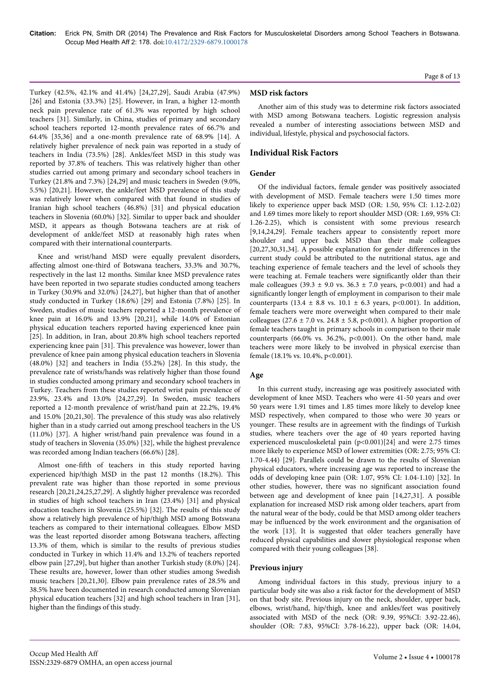Turkey (42.5%, 42.1% and 41.4%) [24,27,29], Saudi Arabia (47.9%) [26] and Estonia (33.3%) [25]. However, in Iran, a higher 12-month neck pain prevalence rate of 61.3% was reported by high school teachers [31]. Similarly, in China, studies of primary and secondary school teachers reported 12-month prevalence rates of 66.7% and 64.4% [35,36] and a one-month prevalence rate of 68.9% [14]. A relatively higher prevalence of neck pain was reported in a study of teachers in India (73.5%) [28]. Ankles/feet MSD in this study was reported by 37.8% of teachers. This was relatively higher than other studies carried out among primary and secondary school teachers in Turkey (21.8% and 7.3%) [24,29] and music teachers in Sweden (9.0%, 5.5%) [20,21]. However, the ankle/feet MSD prevalence of this study was relatively lower when compared with that found in studies of Iranian high school teachers (46.8%) [31] and physical education teachers in Slovenia (60.0%) [32]. Similar to upper back and shoulder MSD, it appears as though Botswana teachers are at risk of development of ankle/feet MSD at reasonably high rates when compared with their international counterparts.

Knee and wrist/hand MSD were equally prevalent disorders, affecting almost one-third of Botswana teachers, 33.3% and 30.7%, respectively in the last 12 months. Similar knee MSD prevalence rates have been reported in two separate studies conducted among teachers in Turkey (30.9% and 32.0%) [24,27], but higher than that of another study conducted in Turkey (18.6%) [29] and Estonia (7.8%) [25]. In Sweden, studies of music teachers reported a 12-month prevalence of knee pain at 16.0% and 13.9% [20,21], while 14.0% of Estonian physical education teachers reported having experienced knee pain [25]. In addition, in Iran, about 20.8% high school teachers reported experiencing knee pain [31]. This prevalence was however, lower than prevalence of knee pain among physical education teachers in Slovenia (48.0%) [32] and teachers in India (55.2%) [28]. In this study, the prevalence rate of wrists/hands was relatively higher than those found in studies conducted among primary and secondary school teachers in Turkey. Teachers from these studies reported wrist pain prevalence of 23.9%, 23.4% and 13.0% [24,27,29]. In Sweden, music teachers reported a 12-month prevalence of wrist/hand pain at 22.2%, 19.4% and 15.0% [20,21,30]. The prevalence of this study was also relatively higher than in a study carried out among preschool teachers in the US (11.0%) [37]. A higher wrist/hand pain prevalence was found in a study of teachers in Slovenia (35.0%) [32], while the highest prevalence was recorded among Indian teachers (66.6%) [28].

Almost one-fifth of teachers in this study reported having experienced hip/thigh MSD in the past 12 months (18.2%). This prevalent rate was higher than those reported in some previous research [20,21,24,25,27,29]. A slightly higher prevalence was recorded in studies of high school teachers in Iran (23.4%) [31] and physical education teachers in Slovenia (25.5%) [32]. The results of this study show a relatively high prevalence of hip/thigh MSD among Botswana teachers as compared to their international colleagues. Elbow MSD was the least reported disorder among Botswana teachers, affecting 13.3% of them, which is similar to the results of previous studies conducted in Turkey in which 11.4% and 13.2% of teachers reported elbow pain [27,29], but higher than another Turkish study (8.0%) [24]. These results are, however, lower than other studies among Swedish music teachers [20,21,30]. Elbow pain prevalence rates of 28.5% and 38.5% have been documented in research conducted among Slovenian physical education teachers [32] and high school teachers in Iran [31], higher than the findings of this study.

### **MSD risk factors**

Another aim of this study was to determine risk factors associated with MSD among Botswana teachers. Logistic regression analysis revealed a number of interesting associations between MSD and individual, lifestyle, physical and psychosocial factors.

### **Individual Risk Factors**

#### **Gender**

Of the individual factors, female gender was positively associated with development of MSD. Female teachers were 1.50 times more likely to experience upper back MSD (OR: 1.50, 95% CI: 1.12-2.02) and 1.69 times more likely to report shoulder MSD (OR: 1.69, 95% CI: 1.26-2.25), which is consistent with some previous research [9,14,24,29]. Female teachers appear to consistently report more shoulder and upper back MSD than their male colleagues [20,27,30,31,34]. A possible explanation for gender differences in the current study could be attributed to the nutritional status, age and teaching experience of female teachers and the level of schools they were teaching at. Female teachers were significantly older than their male colleagues (39.3  $\pm$  9.0 vs. 36.3  $\pm$  7.0 years, p<0.001) and had a significantly longer length of employment in comparison to their male counterparts (13.4  $\pm$  8.8 vs. 10.1  $\pm$  6.3 years, p<0.001). In addition, female teachers were more overweight when compared to their male colleagues (27.6  $\pm$  7.0 vs. 24.8  $\pm$  5.8, p<0.001). A higher proportion of female teachers taught in primary schools in comparison to their male counterparts (66.0% vs. 36.2%, p<0.001). On the other hand, male teachers were more likely to be involved in physical exercise than female (18.1% vs. 10.4%, p<0.001).

### **Age**

In this current study, increasing age was positively associated with development of knee MSD. Teachers who were 41-50 years and over 50 years were 1.91 times and 1.85 times more likely to develop knee MSD respectively, when compared to those who were 30 years or younger. These results are in agreement with the findings of Turkish studies, where teachers over the age of 40 years reported having experienced musculoskeletal pain (p<0.001)[24] and were 2.75 times more likely to experience MSD of lower extremities (OR: 2.75; 95% CI: 1.70-4.44) [29]. Parallels could be drawn to the results of Slovenian physical educators, where increasing age was reported to increase the odds of developing knee pain (OR: 1.07, 95% CI: 1.04-1.10) [32]. In other studies, however, there was no significant association found between age and development of knee pain [14,27,31]. A possible explanation for increased MSD risk among older teachers, apart from the natural wear of the body, could be that MSD among older teachers may be influenced by the work environment and the organisation of the work [13]. It is suggested that older teachers generally have reduced physical capabilities and slower physiological response when compared with their young colleagues [38].

#### **Previous injury**

Among individual factors in this study, previous injury to a particular body site was also a risk factor for the development of MSD on that body site. Previous injury on the neck, shoulder, upper back, elbows, wrist/hand, hip/thigh, knee and ankles/feet was positively associated with MSD of the neck (OR: 9.39, 95%CI: 3.92-22.46), shoulder (OR: 7.83, 95%CI: 3.78-16.22), upper back (OR: 14.04,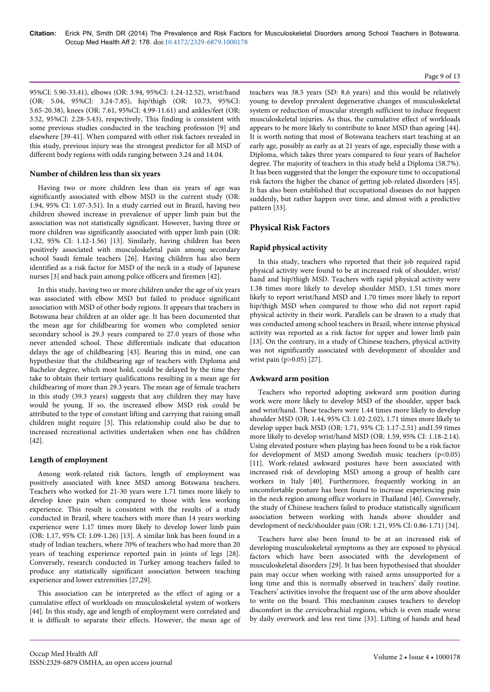#### Page 9 of 13

95%CI: 5.90-33.41), elbows (OR: 3.94, 95%CI: 1.24-12.52), wrist/hand (OR: 5.04, 95%CI: 3.24-7.85), hip/thigh (OR: 10.73, 95%CI: 5.65-20.38), knees (OR: 7.61, 95%CI: 4.99-11.61) and ankles/feet (OR: 3.52, 95%CI: 2.28-5.43), respectively, This finding is consistent with some previous studies conducted in the teaching profession [9] and elsewhere [39-41]. When compared with other risk factors revealed in this study, previous injury was the strongest predictor for all MSD of different body regions with odds ranging between 3.24 and 14.04.

### **Number of children less than six years**

Having two or more children less than six years of age was significantly associated with elbow MSD in the current study (OR: 1.94, 95% CI: 1.07-3.51). In a study carried out in Brazil, having two children showed increase in prevalence of upper limb pain but the association was not statistically significant. However, having three or more children was significantly associated with upper limb pain (OR: 1.32, 95% CI: 1.12-1.56) [13]. Similarly, having children has been positively associated with musculoskeletal pain among secondary school Saudi female teachers [26]. Having children has also been identified as a risk factor for MSD of the neck in a study of Japanese nurses [3] and back pain among police officers and firemen [42].

In this study, having two or more children under the age of six years was associated with elbow MSD but failed to produce significant association with MSD of other body regions. It appears that teachers in Botswana bear children at an older age. It has been documented that the mean age for childbearing for women who completed senior secondary school is 29.3 years compared to 27.0 years of those who never attended school. These differentials indicate that education delays the age of childbearing [43]. Bearing this in mind, one can hypothesize that the childbearing age of teachers with Diploma and Bachelor degree, which most hold, could be delayed by the time they take to obtain their tertiary qualifications resulting in a mean age for childbearing of more than 29.3 years. The mean age of female teachers in this study (39.3 years) suggests that any children they may have would be young. If so, the increased elbow MSD risk could be attributed to the type of constant lifting and carrying that raising small children might require [3]. This relationship could also be due to increased recreational activities undertaken when one has children [42].

# **Length of employment**

Among work-related risk factors, length of employment was positively associated with knee MSD among Botswana teachers. Teachers who worked for 21-30 years were 1.71 times more likely to develop knee pain when compared to those with less working experience. This result is consistent with the results of a study conducted in Brazil, where teachers with more than 14 years working experience were 1.17 times more likely to develop lower limb pain (OR: 1.17, 95% CI: 1.09-1.26) [13]. A similar link has been found in a study of Indian teachers, where 70% of teachers who had more than 20 years of teaching experience reported pain in joints of legs [28]. Conversely, research conducted in Turkey among teachers failed to produce any statistically significant association between teaching experience and lower extremities [27,29].

This association can be interpreted as the effect of aging or a cumulative effect of workloads on musculoskeletal system of workers [44]. In this study, age and length of employment were correlated and it is difficult to separate their effects. However, the mean age of teachers was 38.5 years (SD: 8.6 years) and this would be relatively young to develop prevalent degenerative changes of musculoskeletal system or reduction of muscular strength sufficient to induce frequent musculoskeletal injuries. As thus, the cumulative effect of workloads appears to be more likely to contribute to knee MSD than ageing [44]. It is worth noting that most of Botswana teachers start teaching at an early age, possibly as early as at 21 years of age, especially those with a Diploma, which takes three years compared to four years of Bachelor degree. The majority of teachers in this study held a Diploma (58.7%). It has been suggested that the longer the exposure time to occupational risk factors the higher the chance of getting job-related disorders [45]. It has also been established that occupational diseases do not happen suddenly, but rather happen over time, and almost with a predictive pattern [33].

# **Physical Risk Factors**

# **Rapid physical activity**

In this study, teachers who reported that their job required rapid physical activity were found to be at increased risk of shoulder, wrist/ hand and hip/thigh MSD. Teachers with rapid physical activity were 1.38 times more likely to develop shoulder MSD, 1.51 times more likely to report wrist/hand MSD and 1.70 times more likely to report hip/thigh MSD when compared to those who did not report rapid physical activity in their work. Parallels can be drawn to a study that was conducted among school teachers in Brazil, where intense physical activity was reported as a risk factor for upper and lower limb pain [13]. On the contrary, in a study of Chinese teachers, physical activity was not significantly associated with development of shoulder and wrist pain (p>0.05) [27].

# **Awkward arm position**

Teachers who reported adopting awkward arm position during work were more likely to develop MSD of the shoulder, upper back and wrist/hand. These teachers were 1.44 times more likely to develop shoulder MSD (OR: 1.44, 95% CI: 1.02-2.02), 1.71 times more likely to develop upper back MSD (OR: 1.71, 95% CI: 1.17-2.51) and1.59 times more likely to develop wrist/hand MSD (OR: 1.59, 95% CI: 1.18-2.14). Using elevated posture when playing has been found to be a risk factor for development of MSD among Swedish music teachers (p<0.05) [11]. Work-related awkward postures have been associated with increased risk of developing MSD among a group of health care workers in Italy [40]. Furthermore, frequently working in an uncomfortable posture has been found to increase experiencing pain in the neck region among office workers in Thailand [46]. Conversely, the study of Chinese teachers failed to produce statistically significant association between working with hands above shoulder and development of neck/shoulder pain (OR: 1.21, 95% CI: 0.86-1.71) [34].

Teachers have also been found to be at an increased risk of developing musculoskeletal symptoms as they are exposed to physical factors which have been associated with the development of musculoskeletal disorders [29]. It has been hypothesised that shoulder pain may occur when working with raised arms unsupported for a long time and this is normally observed in teachers' daily routine. Teachers' activities involve the frequent use of the arm above shoulder to write on the board. This mechanism causes teachers to develop discomfort in the cervicobrachial regions, which is even made worse by daily overwork and less rest time [33]. Lifting of hands and head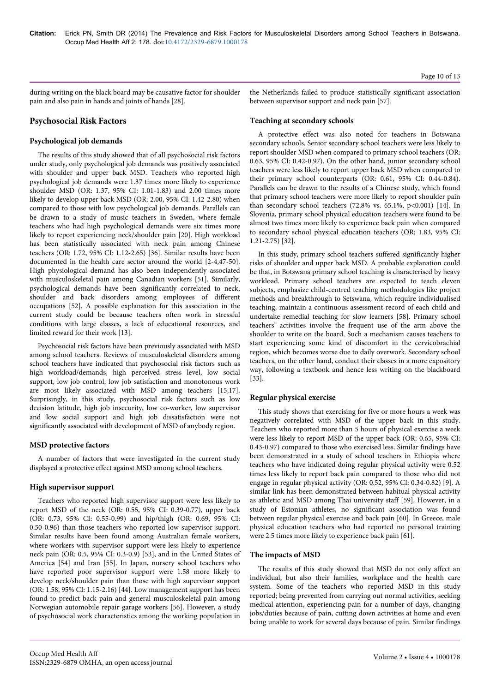during writing on the black board may be causative factor for shoulder pain and also pain in hands and joints of hands [28].

# **Psychosocial Risk Factors**

### **Psychological job demands**

The results of this study showed that of all psychosocial risk factors under study, only psychological job demands was positively associated with shoulder and upper back MSD. Teachers who reported high psychological job demands were 1.37 times more likely to experience shoulder MSD (OR: 1.37, 95% CI: 1.01-1.83) and 2.00 times more likely to develop upper back MSD (OR: 2.00, 95% CI: 1.42-2.80) when compared to those with low psychological job demands. Parallels can be drawn to a study of music teachers in Sweden, where female teachers who had high psychological demands were six times more likely to report experiencing neck/shoulder pain [20]. High workload has been statistically associated with neck pain among Chinese teachers (OR: 1.72, 95% CI: 1.12-2.65) [36]. Similar results have been documented in the health care sector around the world [2-4,47-50]. High physiological demand has also been independently associated with musculoskeletal pain among Canadian workers [51]. Similarly, psychological demands have been significantly correlated to neck, shoulder and back disorders among employees of different occupations [52]. A possible explanation for this association in the current study could be because teachers often work in stressful conditions with large classes, a lack of educational resources, and limited reward for their work [13].

Psychosocial risk factors have been previously associated with MSD among school teachers. Reviews of musculoskeletal disorders among school teachers have indicated that psychosocial risk factors such as high workload/demands, high perceived stress level, low social support, low job control, low job satisfaction and monotonous work are most likely associated with MSD among teachers [15,17]. Surprisingly, in this study, psychosocial risk factors such as low decision latitude, high job insecurity, low co-worker, low supervisor and low social support and high job dissatisfaction were not significantly associated with development of MSD of anybody region.

# **MSD protective factors**

A number of factors that were investigated in the current study displayed a protective effect against MSD among school teachers.

# **High supervisor support**

Teachers who reported high supervisor support were less likely to report MSD of the neck (OR: 0.55, 95% CI: 0.39-0.77), upper back (OR: 0.73, 95% CI: 0.55-0.99) and hip/thigh (OR: 0.69, 95% CI: 0.50-0.96) than those teachers who reported low supervisor support. Similar results have been found among Australian female workers, where workers with supervisor support were less likely to experience neck pain (OR: 0.5, 95% CI: 0.3-0.9) [53], and in the United States of America [54] and Iran [55]. In Japan, nursery school teachers who have reported poor supervisor support were 1.58 more likely to develop neck/shoulder pain than those with high supervisor support (OR: 1.58, 95% CI: 1.15-2.16) [44]. Low management support has been found to predict back pain and general musculoskeletal pain among Norwegian automobile repair garage workers [56]. However, a study of psychosocial work characteristics among the working population in the Netherlands failed to produce statistically significant association between supervisor support and neck pain [57].

### **Teaching at secondary schools**

A protective effect was also noted for teachers in Botswana secondary schools. Senior secondary school teachers were less likely to report shoulder MSD when compared to primary school teachers (OR: 0.63, 95% CI: 0.42-0.97). On the other hand, junior secondary school teachers were less likely to report upper back MSD when compared to their primary school counterparts (OR: 0.61, 95% CI: 0.44-0.84). Parallels can be drawn to the results of a Chinese study, which found that primary school teachers were more likely to report shoulder pain than secondary school teachers (72.8% vs. 65.1%, p<0.001) [14]. In Slovenia, primary school physical education teachers were found to be almost two times more likely to experience back pain when compared to secondary school physical education teachers (OR: 1.83, 95% CI: 1.21-2.75) [32].

In this study, primary school teachers suffered significantly higher risks of shoulder and upper back MSD. A probable explanation could be that, in Botswana primary school teaching is characterised by heavy workload. Primary school teachers are expected to teach eleven subjects, emphasize child-centred teaching methodologies like project methods and breakthrough to Setswana, which require individualised teaching, maintain a continuous assessment record of each child and undertake remedial teaching for slow learners [58]. Primary school teachers' activities involve the frequent use of the arm above the shoulder to write on the board. Such a mechanism causes teachers to start experiencing some kind of discomfort in the cervicobrachial region, which becomes worse due to daily overwork. Secondary school teachers, on the other hand, conduct their classes in a more expository way, following a textbook and hence less writing on the blackboard [33].

# **Regular physical exercise**

This study shows that exercising for five or more hours a week was negatively correlated with MSD of the upper back in this study. Teachers who reported more than 5 hours of physical exercise a week were less likely to report MSD of the upper back (OR: 0.65, 95% CI: 0.43-0.97) compared to those who exercised less. Similar findings have been demonstrated in a study of school teachers in Ethiopia where teachers who have indicated doing regular physical activity were 0.52 times less likely to report back pain compared to those who did not engage in regular physical activity (OR: 0.52, 95% CI: 0.34-0.82) [9]. A similar link has been demonstrated between habitual physical activity as athletic and MSD among Thai university staff [59]. However, in a study of Estonian athletes, no significant association was found between regular physical exercise and back pain [60]. In Greece, male physical education teachers who had reported no personal training were 2.5 times more likely to experience back pain [61].

### **The impacts of MSD**

The results of this study showed that MSD do not only affect an individual, but also their families, workplace and the health care system. Some of the teachers who reported MSD in this study reported; being prevented from carrying out normal activities, seeking medical attention, experiencing pain for a number of days, changing jobs/duties because of pain, cutting down activities at home and even being unable to work for several days because of pain. Similar findings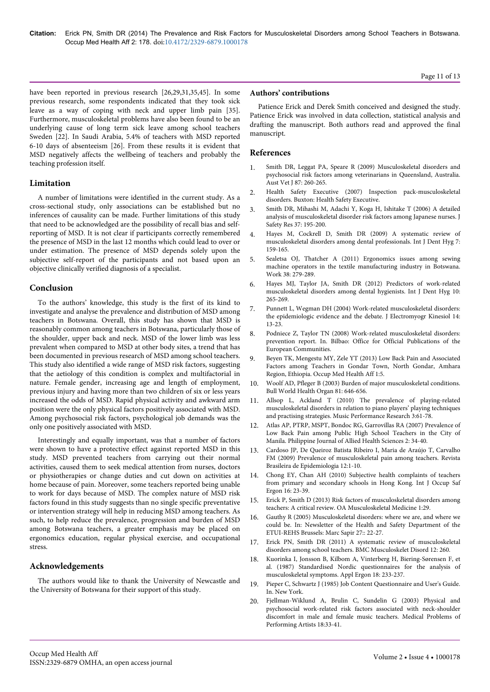### have been reported in previous research [26,29,31,35,45]. In some previous research, some respondents indicated that they took sick leave as a way of coping with neck and upper limb pain [35]. Furthermore, musculoskeletal problems have also been found to be an underlying cause of long term sick leave among school teachers Sweden [22]. In Saudi Arabia, 5.4% of teachers with MSD reported 6-10 days of absenteeism [26]. From these results it is evident that MSD negatively affects the wellbeing of teachers and probably the teaching profession itself.

# **Limitation**

A number of limitations were identified in the current study. As a cross-sectional study, only associations can be established but no inferences of causality can be made. Further limitations of this study that need to be acknowledged are the possibility of recall bias and selfreporting of MSD. It is not clear if participants correctly remembered the presence of MSD in the last 12 months which could lead to over or under estimation. The presence of MSD depends solely upon the subjective self-report of the participants and not based upon an objective clinically verified diagnosis of a specialist.

### **Conclusion**

To the authors' knowledge, this study is the first of its kind to investigate and analyse the prevalence and distribution of MSD among teachers in Botswana. Overall, this study has shown that MSD is reasonably common among teachers in Botswana, particularly those of the shoulder, upper back and neck. MSD of the lower limb was less prevalent when compared to MSD at other body sites, a trend that has been documented in previous research of MSD among school teachers. This study also identified a wide range of MSD risk factors, suggesting that the aetiology of this condition is complex and multifactorial in nature. Female gender, increasing age and length of employment, previous injury and having more than two children of six or less years increased the odds of MSD. Rapid physical activity and awkward arm position were the only physical factors positively associated with MSD. Among psychosocial risk factors, psychological job demands was the only one positively associated with MSD.

Interestingly and equally important, was that a number of factors were shown to have a protective effect against reported MSD in this study. MSD prevented teachers from carrying out their normal activities, caused them to seek medical attention from nurses, doctors or physiotherapies or change duties and cut down on activities at home because of pain. Moreover, some teachers reported being unable to work for days because of MSD. The complex nature of MSD risk factors found in this study suggests than no single specific preventative or intervention strategy will help in reducing MSD among teachers. As such, to help reduce the prevalence, progression and burden of MSD among Botswana teachers, a greater emphasis may be placed on ergonomics education, regular physical exercise, and occupational stress.

# **Acknowledgements**

The authors would like to thank the University of Newcastle and the University of Botswana for their support of this study.

### **Authors' contributions**

Patience Erick and Derek Smith conceived and designed the study. Patience Erick was involved in data collection, statistical analysis and drafting the manuscript. Both authors read and approved the final manuscript.

### **References**

- 1. [Smith DR, Leggat PA, Speare R \(2009\) Musculoskeletal disorders and](http://www.ncbi.nlm.nih.gov/pubmed/19573148) [psychosocial risk factors among veterinarians in Queensland, Australia.](http://www.ncbi.nlm.nih.gov/pubmed/19573148) [Aust Vet J 87: 260-265.](http://www.ncbi.nlm.nih.gov/pubmed/19573148)
- 2. Health Safety Executive (2007) Inspection pack-musculoskeletal disorders. Buxton: Health Safety Executive.
- 3. [Smith DR, Mihashi M, Adachi Y, Koga H, Ishitake T \(2006\) A detailed](http://www.ncbi.nlm.nih.gov/pubmed/16678854) [analysis of musculoskeletal disorder risk factors among Japanese nurses. J](http://www.ncbi.nlm.nih.gov/pubmed/16678854) [Safety Res 37: 195-200.](http://www.ncbi.nlm.nih.gov/pubmed/16678854)
- 4. [Hayes M, Cockrell D, Smith DR \(2009\) A systematic review of](http://www.ncbi.nlm.nih.gov/pubmed/19659711) [musculoskeletal disorders among dental professionals. Int J Dent Hyg 7:](http://www.ncbi.nlm.nih.gov/pubmed/19659711) [159-165.](http://www.ncbi.nlm.nih.gov/pubmed/19659711)
- 5. [Sealetsa OJ, Thatcher A \(2011\) Ergonomics issues among sewing](http://www.ncbi.nlm.nih.gov/pubmed/21447888) [machine operators in the textile manufacturing industry in Botswana.](http://www.ncbi.nlm.nih.gov/pubmed/21447888) [Work 38: 279-289.](http://www.ncbi.nlm.nih.gov/pubmed/21447888)
- 6. [Hayes MJ, Taylor JA, Smith DR \(2012\) Predictors of work-related](http://www.ncbi.nlm.nih.gov/pubmed/22081978) [musculoskeletal disorders among dental hygienists. Int J Dent Hyg 10:](http://www.ncbi.nlm.nih.gov/pubmed/22081978) [265-269.](http://www.ncbi.nlm.nih.gov/pubmed/22081978)
- 7. [Punnett L, Wegman DH \(2004\) Work-related musculoskeletal disorders:](http://www.ncbi.nlm.nih.gov/pubmed/14759746) [the epidemiologic evidence and the debate. J Electromyogr Kinesiol 14:](http://www.ncbi.nlm.nih.gov/pubmed/14759746) [13-23.](http://www.ncbi.nlm.nih.gov/pubmed/14759746)
- 8. Podniece Z, Taylor TN (2008) Work-related musculoskeletal disorders: prevention report. In. Bilbao: Office for Official Publications of the European Communities.
- 9. [Beyen TK, Mengestu MY, Zele YT \(2013\) Low Back Pain and Associated](http://esciencecentral.org/journals/low-back-pain-and-associated-factors-among-teachers-in-gondar-town-north-gondar-amhara-region-ethiopia-2329-6879.1000127.php?aid=16508) [Factors among Teachers in Gondar Town, North Gondar, Amhara](http://esciencecentral.org/journals/low-back-pain-and-associated-factors-among-teachers-in-gondar-town-north-gondar-amhara-region-ethiopia-2329-6879.1000127.php?aid=16508) [Region, Ethiopia. Occup Med Health Aff 1:5.](http://esciencecentral.org/journals/low-back-pain-and-associated-factors-among-teachers-in-gondar-town-north-gondar-amhara-region-ethiopia-2329-6879.1000127.php?aid=16508)
- 10. [Woolf AD, Pfleger B \(2003\) Burden of major musculoskeletal conditions.](http://www.ncbi.nlm.nih.gov/pubmed/14710506) [Bull World Health Organ 81: 646-656.](http://www.ncbi.nlm.nih.gov/pubmed/14710506)
- 11. [Allsop L, Ackland T \(2010\) The prevalence of playing-related](http://mpr-online.net/Issues/Volume%203.1%20Special%20Issue%20%5b2010%5d/Allsop%20Published%20Web%20Version.pdf) [musculoskeletal disorders in relation to piano players' playing techniques](http://mpr-online.net/Issues/Volume%203.1%20Special%20Issue%20%5b2010%5d/Allsop%20Published%20Web%20Version.pdf) [and practising strategies. Music Performance Research 3:61-78.](http://mpr-online.net/Issues/Volume%203.1%20Special%20Issue%20%5b2010%5d/Allsop%20Published%20Web%20Version.pdf)
- 12. Atlas AP, PTRP, MSPT, Bondoc RG, Garrovillas RA (2007) Prevalence of Low Back Pain among Public High School Teachers in the City of Manila. Philippine Journal of Allied Health Sciences 2: 34-40.
- 13. [Cardoso JP, De Queiroz Batista Ribeiro I, Maria de Araújo T, Carvalho](http://www.scielo.br/scielo.php?pid=S1415-790X2009000400010&script=sci_arttext&tlng=en) [FM \(2009\) Prevalence of musculoskeletal pain among teachers. Revista](http://www.scielo.br/scielo.php?pid=S1415-790X2009000400010&script=sci_arttext&tlng=en) [Brasileira de Epidemiologia 12:1-10.](http://www.scielo.br/scielo.php?pid=S1415-790X2009000400010&script=sci_arttext&tlng=en)
- 14. [Chong EY, Chan AH \(2010\) Subjective health complaints of teachers](http://www.ncbi.nlm.nih.gov/pubmed/20331916) [from primary and secondary schools in Hong Kong. Int J Occup Saf](http://www.ncbi.nlm.nih.gov/pubmed/20331916) [Ergon 16: 23-39.](http://www.ncbi.nlm.nih.gov/pubmed/20331916)
- 15. [Erick P, Smith D \(2013\) Risk factors of musculoskeletal disorders among](http://www.oapublishinglondon.com/article/939) [teachers: A critical review. OA Musculoskeletal Medicine 1:29.](http://www.oapublishinglondon.com/article/939)
- 16. Gauthy R (2005) Musculoskeletal disorders: where we are, and where we could be. In: Newsletter of the Health and Safety Department of the ETUI-REHS Brussels: Marc Sapir 27:: 22-27.
- 17. [Erick PN, Smith DR \(2011\) A systematic review of musculoskeletal](http://www.ncbi.nlm.nih.gov/pubmed/22087739) [disorders among school teachers. BMC Musculoskelet Disord 12: 260.](http://www.ncbi.nlm.nih.gov/pubmed/22087739)
- 18. [Kuorinka I, Jonsson B, Kilbom A, Vinterberg H, Biering-Sørensen F, et](http://www.ncbi.nlm.nih.gov/pubmed/15676628) [al. \(1987\) Standardised Nordic questionnaires for the analysis of](http://www.ncbi.nlm.nih.gov/pubmed/15676628) [musculoskeletal symptoms. Appl Ergon 18: 233-237.](http://www.ncbi.nlm.nih.gov/pubmed/15676628)
- 19. Pieper C, Schwartz J (1985) Job Content Questionnaire and User's Guide. In. New York.
- 20. [Fjellman-Wiklund A, Brulin C, Sundelin G \(2003\) Physical and](http://eurekamag.com/research/011/150/011150547.php) [psychosocial work-related risk factors associated with neck-shoulder](http://eurekamag.com/research/011/150/011150547.php) [discomfort in male and female music teachers. Medical Problems of](http://eurekamag.com/research/011/150/011150547.php) [Performing Artists 18:33-41.](http://eurekamag.com/research/011/150/011150547.php)